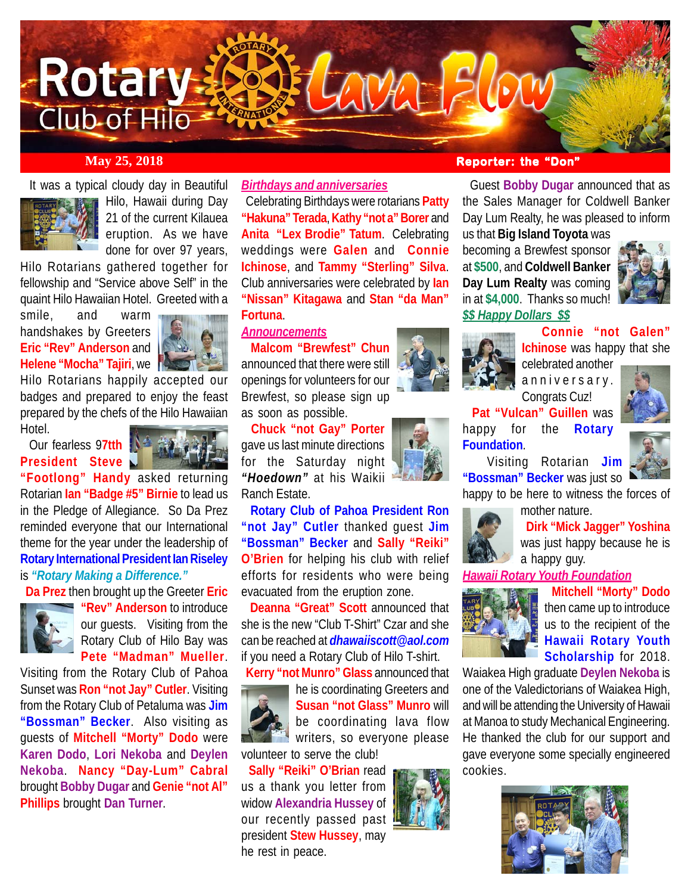

It was a typical cloudy day in Beautiful



Hilo, Hawaii during Day 21 of the current Kilauea eruption. As we have done for over 97 years,

Hilo Rotarians gathered together for fellowship and "Service above Self" in the quaint Hilo Hawaiian Hotel. Greeted with a

smile, and warm handshakes by Greeters **Eric "Rev" Anderson** and **Helene "Mocha" Tajiri**, we



Hilo Rotarians happily accepted our badges and prepared to enjoy the feast prepared by the chefs of the Hilo Hawaiian Hotel.

 Our fearless 9**7tth President Steve**



**"Footlong" Handy** asked returning Rotarian **Ian "Badge #5" Birnie** to lead us in the Pledge of Allegiance. So Da Prez reminded everyone that our International theme for the year under the leadership of **Rotary International President Ian Riseley** is *"Rotary Making a Difference."*

**Da Prez** then brought up the Greeter **Eric**



**"Rev" Anderson** to introduce our guests. Visiting from the Rotary Club of Hilo Bay was **Pete "Madman" Mueller**.

Visiting from the Rotary Club of Pahoa Sunset was **Ron "not Jay" Cutler**. Visiting from the Rotary Club of Petaluma was **Jim "Bossman" Becker**. Also visiting as guests of **Mitchell "Morty" Dodo** were **Karen Dodo**, **Lori Nekoba** and **Deylen Nekoba**. **Nancy "Day-Lum" Cabral** brought **Bobby Dugar** and **Genie "not Al" Phillips** brought **Dan Turner**.

*Birthdays and anniversaries*

 Celebrating Birthdays were rotarians **Patty "Hakuna" Terada**, **Kathy "not a" Borer** and **Anita "Lex Brodie" Tatum**. Celebrating weddings were **Galen** and **Connie Ichinose**, and **Tammy "Sterling" Silva**. Club anniversaries were celebrated by **Ian "Nissan" Kitagawa** and **Stan "da Man" Fortuna**.

## *Announcements*

 **Malcom "Brewfest" Chun** announced that there were still openings for volunteers for our Brewfest, so please sign up as soon as possible.

 **Chuck "not Gay" Porter** gave us last minute directions for the Saturday night *"Hoedown"* at his Waikii Ranch Estate.

 **Rotary Club of Pahoa President Ron "not Jay" Cutler** thanked guest **Jim "Bossman" Becker** and **Sally "Reiki" O'Brien** for helping his club with relief efforts for residents who were being evacuated from the eruption zone.

 **Deanna "Great" Scott** announced that she is the new "Club T-Shirt" Czar and she can be reached at *dhawaiiscott@aol.com* if you need a Rotary Club of Hilo T-shirt.

**Kerry "not Munro" Glass** announced that



he is coordinating Greeters and **Susan "not Glass" Munro** will be coordinating lava flow **Writers, so everyone please** volunteer to serve the club!

 **Sally "Reiki" O'Brian** read us a thank you letter from widow **Alexandria Hussey** of our recently passed past president **Stew Hussey**, may he rest in peace.

# **May 25, 2018 Reporter: the "Don"**

 Guest **Bobby Dugar** announced that as the Sales Manager for Coldwell Banker Day Lum Realty, he was pleased to inform

us that **Big Island Toyota** was becoming a Brewfest sponsor at **\$500**, and **Coldwell Banker Day Lum Realty** was coming in at **\$4,000**. Thanks so much!



### *\$\$ Happy Dollars \$\$*



 **Connie "not Galen" Ichinose** was happy that she

celebrated another anniversary. Congrats Cuz!

**Pat "Vulcan" Guillen** was



happy for the **Rotary Foundation**.



 Visiting Rotarian **Jim "Bossman" Becker** was just so happy to be here to witness the forces of

mother nature.



 **Dirk "Mick Jagger" Yoshina** was just happy because he is a happy guy.

*Hawaii Rotary Youth Foundation*



 **Mitchell "Morty" Dodo** then came up to introduce us to the recipient of the **Hawaii Rotary Youth Scholarship** for 2018.

Waiakea High graduate **Deylen Nekoba** is one of the Valedictorians of Waiakea High, and will be attending the University of Hawaii at Manoa to study Mechanical Engineering. He thanked the club for our support and gave everyone some specially engineered cookies.



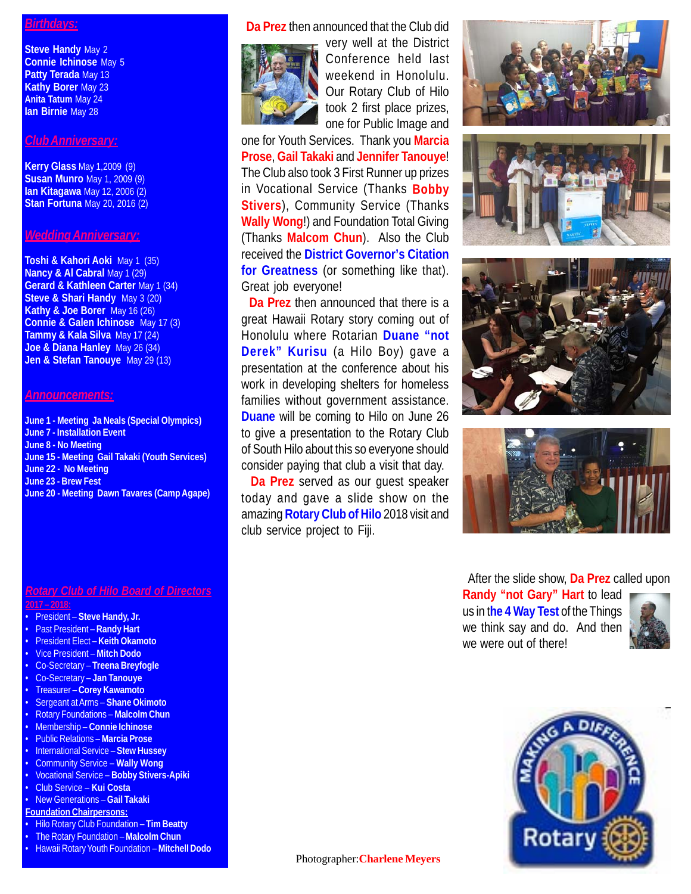#### *Birthdays:*

**Steve Handy** May 2 **Connie Ichinose** May 5 **Patty Terada** May 13 **Kathy Borer** May 23 **Anita Tatum** May 24 **Ian Birnie** May 28

#### *Club Anniversary:*

**Kerry Glass** May 1,2009 (9) **Susan Munro** May 1, 2009 (9) **Ian Kitagawa** May 12, 2006 (2) **Stan Fortuna** May 20, 2016 (2)

#### *Wedding Anniversary:*

**Toshi & Kahori Aoki** May 1 (35) **Nancy & Al Cabral May 1 (29) Gerard & Kathleen Carter** May 1 (34) **Steve & Shari Handy** May 3 (20) **Kathy & Joe Borer** May 16 (26) **Connie & Galen Ichinose** May 17 (3) **Tammy & Kala Silva** May 17 (24) **Joe & Diana Hanley** May 26 (34) **Jen & Stefan Tanouye** May 29 (13)

#### *Announcements:*

**June 1 - Meeting Ja Neals (Special Olympics) June 7 - Installation Event June 8 - No Meeting June 15 - Meeting Gail Takaki (Youth Services) June 22 - No Meeting June 23 - Brew Fest June 20 - Meeting Dawn Tavares (Camp Agape)**

#### *Rotary Club of Hilo Board of Directors* **2017 – 2018:**

- President **Steve Handy, Jr.**
- Past President **Randy Hart**
- President Elect **Keith Okamoto**
- Vice President **Mitch Dodo**
- Co-Secretary **Treena Breyfogle**
- Co-Secretary **Jan Tanouye**
- Treasurer **Corey Kawamoto**
- Sergeant at Arms **Shane Okimoto**
- Rotary Foundations **Malcolm Chun**
- Membership **Connie Ichinose**
- Public Relations **Marcia Prose**
- International Service **Stew Hussey**
- Community Service **Wally Wong**
- Vocational Service **Bobby Stivers-Apiki**
- Club Service **Kui Costa**
- New Generations **Gail Takaki**
- **Foundation Chairpersons:**
- Hilo Rotary Club Foundation **Tim Beatty** • The Rotary Foundation – **Malcolm Chun**
- 
- Hawaii Rotary Youth Foundation **Mitchell Dodo**

**Da Prez** then announced that the Club did



very well at the District Conference held last weekend in Honolulu. Our Rotary Club of Hilo took 2 first place prizes, one for Public Image and

one for Youth Services. Thank you **Marcia Prose**, **Gail Takaki** and **Jennifer Tanouye**! The Club also took 3 First Runner up prizes in Vocational Service (Thanks **Bobby Stivers**), Community Service (Thanks **Wally Wong**!) and Foundation Total Giving (Thanks **Malcom Chun**). Also the Club received the **District Governor's Citation for Greatness** (or something like that). Great job everyone!

 **Da Prez** then announced that there is a great Hawaii Rotary story coming out of Honolulu where Rotarian **Duane "not Derek" Kurisu** (a Hilo Boy) gave a presentation at the conference about his work in developing shelters for homeless families without government assistance. **Duane** will be coming to Hilo on June 26 to give a presentation to the Rotary Club of South Hilo about this so everyone should consider paying that club a visit that day.

 **Da Prez** served as our guest speaker today and gave a slide show on the amazing **Rotary Club of Hilo** 2018 visit and club service project to Fiji.









After the slide show, **Da Prez** called upon

**Randy "not Gary" Hart** to lead us in t**he 4 Way Test** of the Things we think say and do. And then we were out of there!





Photographer:**Charlene Meyers**